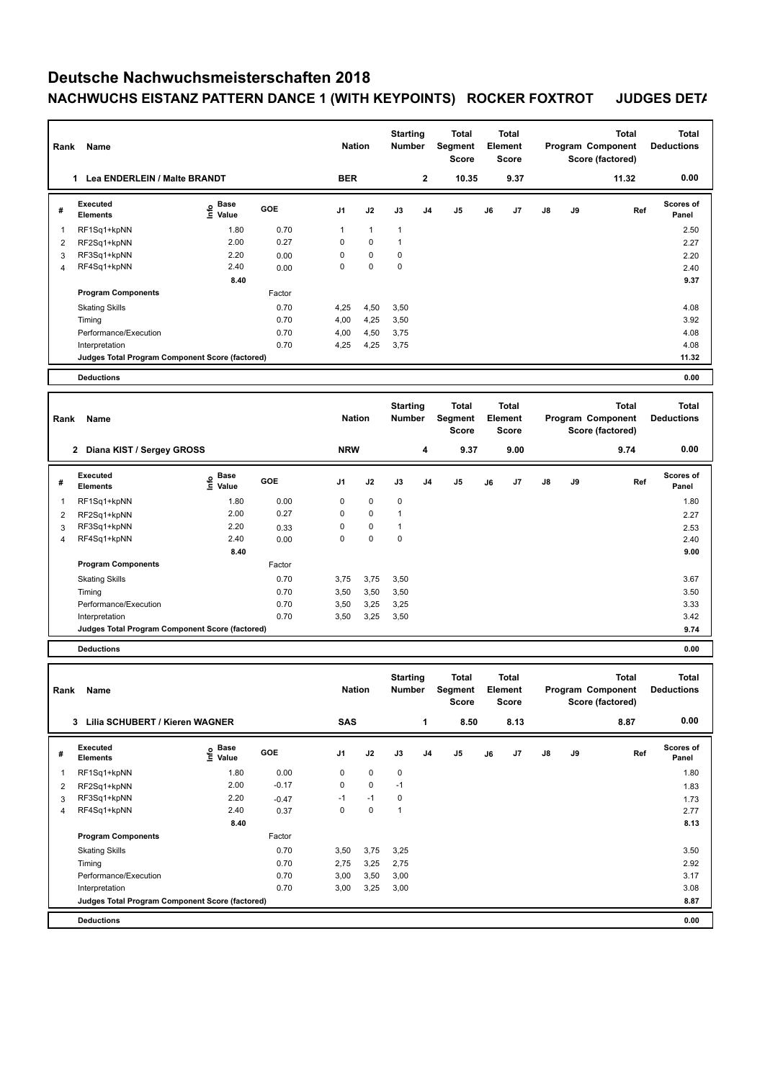## **Deutsche Nachwuchsmeisterschaften 2018 NACHWUCHS EISTANZ PATTERN DANCE 1 (WITH KEYPOINTS) ROCKER FOXTROT JUDGES DETAILS**

| Rank           | Name                                            |                              |        | <b>Nation</b>  |              | <b>Starting</b><br><b>Number</b> |                | <b>Total</b><br><b>Segment</b><br><b>Score</b> |    | <b>Total</b><br>Element<br><b>Score</b> |    |    | <b>Total</b><br>Program Component<br>Score (factored) | <b>Total</b><br><b>Deductions</b> |
|----------------|-------------------------------------------------|------------------------------|--------|----------------|--------------|----------------------------------|----------------|------------------------------------------------|----|-----------------------------------------|----|----|-------------------------------------------------------|-----------------------------------|
|                | Lea ENDERLEIN / Malte BRANDT<br>1               |                              |        | <b>BER</b>     |              |                                  | $\mathbf 2$    | 10.35                                          |    | 9.37                                    |    |    | 11.32                                                 | 0.00                              |
| #              | Executed<br><b>Elements</b>                     | <b>Base</b><br>۴ů<br>Value   | GOE    | J <sub>1</sub> | J2           | J3                               | J <sub>4</sub> | J <sub>5</sub>                                 | J6 | J7                                      | J8 | J9 | Ref                                                   | <b>Scores of</b><br>Panel         |
| 1              | RF1Sq1+kpNN                                     | 1.80                         | 0.70   | 1              | $\mathbf{1}$ | $\mathbf{1}$                     |                |                                                |    |                                         |    |    |                                                       | 2.50                              |
| 2              | RF2Sq1+kpNN                                     | 2.00                         | 0.27   | 0              | 0            | $\mathbf{1}$                     |                |                                                |    |                                         |    |    |                                                       | 2.27                              |
| 3              | RF3Sq1+kpNN                                     | 2.20                         | 0.00   | 0              | 0            | 0                                |                |                                                |    |                                         |    |    |                                                       | 2.20                              |
| $\overline{4}$ | RF4Sq1+kpNN                                     | 2.40                         | 0.00   | $\Omega$       | $\Omega$     | $\mathbf 0$                      |                |                                                |    |                                         |    |    |                                                       | 2.40                              |
|                |                                                 | 8.40                         |        |                |              |                                  |                |                                                |    |                                         |    |    |                                                       | 9.37                              |
|                | <b>Program Components</b>                       |                              | Factor |                |              |                                  |                |                                                |    |                                         |    |    |                                                       |                                   |
|                | <b>Skating Skills</b>                           |                              | 0.70   | 4,25           | 4,50         | 3,50                             |                |                                                |    |                                         |    |    |                                                       | 4.08                              |
|                | Timing                                          |                              | 0.70   | 4,00           | 4,25         | 3,50                             |                |                                                |    |                                         |    |    |                                                       | 3.92                              |
|                | Performance/Execution                           |                              | 0.70   | 4,00           | 4,50         | 3,75                             |                |                                                |    |                                         |    |    |                                                       | 4.08                              |
|                | Interpretation                                  |                              | 0.70   | 4,25           | 4,25         | 3,75                             |                |                                                |    |                                         |    |    |                                                       | 4.08                              |
|                | Judges Total Program Component Score (factored) |                              |        |                |              |                                  |                |                                                |    |                                         |    |    |                                                       | 11.32                             |
|                | <b>Deductions</b>                               |                              |        |                |              |                                  |                |                                                |    |                                         |    |    |                                                       | 0.00                              |
|                |                                                 |                              |        |                |              |                                  |                |                                                |    |                                         |    |    |                                                       |                                   |
| Rank           | Name                                            |                              |        | <b>Nation</b>  |              | <b>Starting</b><br><b>Number</b> |                | <b>Total</b><br><b>Segment</b><br><b>Score</b> |    | <b>Total</b><br>Element<br><b>Score</b> |    |    | <b>Total</b><br>Program Component<br>Score (factored) | <b>Total</b><br><b>Deductions</b> |
|                | 2 Diana KIST / Sergey GROSS                     |                              |        | <b>NRW</b>     |              |                                  | 4              | 9.37                                           |    | 9.00                                    |    |    | 9.74                                                  | 0.00                              |
| #              | Executed<br><b>Elements</b>                     | <b>Base</b><br>Info<br>Value | GOE    | J <sub>1</sub> | J2           | J3                               | J <sub>4</sub> | J <sub>5</sub>                                 | J6 | J7                                      | J8 | J9 | Ref                                                   | <b>Scores of</b><br>Panel         |
| 1              | RF1Sq1+kpNN                                     | 1.80                         | 0.00   | 0              | 0            | 0                                |                |                                                |    |                                         |    |    |                                                       | 1.80                              |
| 2              | RF2Sq1+kpNN                                     | 2.00                         | 0.27   | 0              | 0            | $\mathbf{1}$                     |                |                                                |    |                                         |    |    |                                                       | 2.27                              |
| 3              | RF3Sq1+kpNN                                     | 2.20                         | 0.33   | $\Omega$       | 0            | $\mathbf{1}$                     |                |                                                |    |                                         |    |    |                                                       | 2.53                              |
| $\overline{4}$ | RF4Sq1+kpNN                                     | 2.40                         | 0.00   | 0              | 0            | $\mathbf 0$                      |                |                                                |    |                                         |    |    |                                                       | 2.40                              |
|                |                                                 | 8.40                         |        |                |              |                                  |                |                                                |    |                                         |    |    |                                                       | 9.00                              |
|                | <b>Program Components</b>                       |                              | Factor |                |              |                                  |                |                                                |    |                                         |    |    |                                                       |                                   |
|                | <b>Skating Skills</b>                           |                              | 0.70   | 3,75           | 3,75         | 3,50                             |                |                                                |    |                                         |    |    |                                                       | 3.67                              |
|                | Timing                                          |                              | 0.70   | 3,50           | 3,50         | 3,50                             |                |                                                |    |                                         |    |    |                                                       | 3.50                              |
|                | Performance/Execution                           |                              | 0.70   | 3,50           | 3,25         | 3,25                             |                |                                                |    |                                         |    |    |                                                       | 3.33                              |
|                | Interpretation                                  |                              | 0.70   | 3,50           | 3,25         | 3,50                             |                |                                                |    |                                         |    |    |                                                       | 3.42                              |
|                | Judges Total Program Component Score (factored) |                              |        |                |              |                                  |                |                                                |    |                                         |    |    |                                                       | 9.74                              |

**Deductions 0.00**

| Rank | Name                                            |                              |            | <b>Nation</b>  |      | <b>Starting</b><br><b>Number</b> |                | Total<br>Segment<br>Score |    | <b>Total</b><br>Element<br><b>Score</b> |               |    | <b>Total</b><br>Program Component<br>Score (factored) | Total<br><b>Deductions</b> |
|------|-------------------------------------------------|------------------------------|------------|----------------|------|----------------------------------|----------------|---------------------------|----|-----------------------------------------|---------------|----|-------------------------------------------------------|----------------------------|
|      | 3<br>Lilia SCHUBERT / Kieren WAGNER             |                              |            | <b>SAS</b>     |      |                                  | 1              | 8.50                      |    | 8.13                                    |               |    | 8.87                                                  | 0.00                       |
| #    | Executed<br><b>Elements</b>                     | <b>Base</b><br>Info<br>Value | <b>GOE</b> | J <sub>1</sub> | J2   | J3                               | J <sub>4</sub> | J5                        | J6 | J7                                      | $\mathsf{J}8$ | J9 | Ref                                                   | <b>Scores of</b><br>Panel  |
| 1    | RF1Sq1+kpNN                                     | 1.80                         | 0.00       | 0              | 0    | $\mathbf 0$                      |                |                           |    |                                         |               |    |                                                       | 1.80                       |
| 2    | RF2Sq1+kpNN                                     | 2.00                         | $-0.17$    | 0              | 0    | $-1$                             |                |                           |    |                                         |               |    |                                                       | 1.83                       |
| 3    | RF3Sq1+kpNN                                     | 2.20                         | $-0.47$    | $-1$           | $-1$ | 0                                |                |                           |    |                                         |               |    |                                                       | 1.73                       |
| 4    | RF4Sq1+kpNN                                     | 2.40                         | 0.37       | 0              | 0    | 1                                |                |                           |    |                                         |               |    |                                                       | 2.77                       |
|      |                                                 | 8.40                         |            |                |      |                                  |                |                           |    |                                         |               |    |                                                       | 8.13                       |
|      | <b>Program Components</b>                       |                              | Factor     |                |      |                                  |                |                           |    |                                         |               |    |                                                       |                            |
|      | <b>Skating Skills</b>                           |                              | 0.70       | 3,50           | 3,75 | 3,25                             |                |                           |    |                                         |               |    |                                                       | 3.50                       |
|      | Timing                                          |                              | 0.70       | 2,75           | 3,25 | 2,75                             |                |                           |    |                                         |               |    |                                                       | 2.92                       |
|      | Performance/Execution                           |                              | 0.70       | 3,00           | 3,50 | 3,00                             |                |                           |    |                                         |               |    |                                                       | 3.17                       |
|      | Interpretation                                  |                              | 0.70       | 3,00           | 3,25 | 3,00                             |                |                           |    |                                         |               |    |                                                       | 3.08                       |
|      | Judges Total Program Component Score (factored) |                              |            |                |      |                                  |                |                           |    |                                         |               |    |                                                       | 8.87                       |
|      | <b>Deductions</b>                               |                              |            |                |      |                                  |                |                           |    |                                         |               |    |                                                       | 0.00                       |